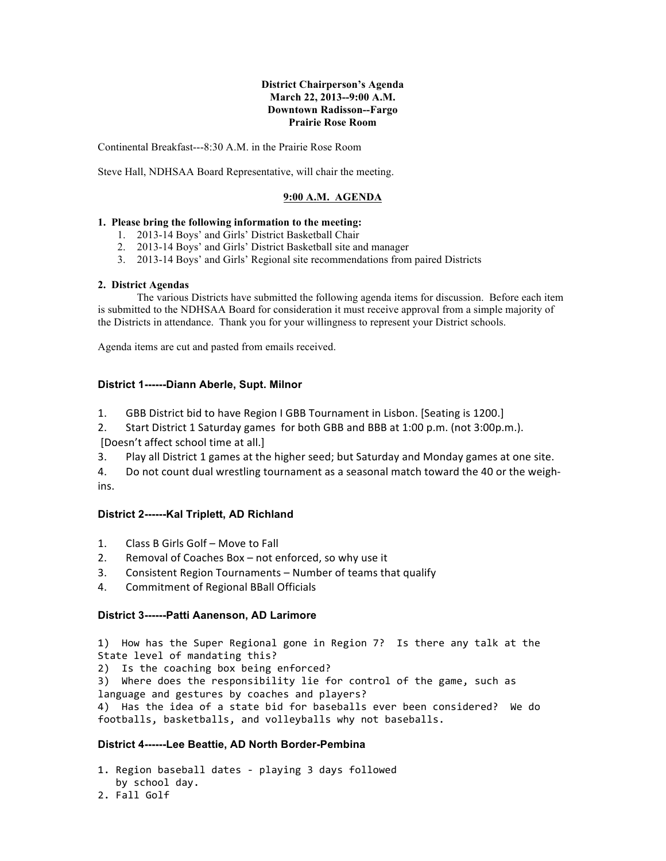#### **District Chairperson's Agenda March 22, 2013--9:00 A.M. Downtown Radisson--Fargo Prairie Rose Room**

Continental Breakfast---8:30 A.M. in the Prairie Rose Room

Steve Hall, NDHSAA Board Representative, will chair the meeting.

## **9:00 A.M. AGENDA**

### **1. Please bring the following information to the meeting:**

- 1. 2013-14 Boys' and Girls' District Basketball Chair
- 2. 2013-14 Boys' and Girls' District Basketball site and manager
- 3. 2013-14 Boys' and Girls' Regional site recommendations from paired Districts

### **2. District Agendas**

The various Districts have submitted the following agenda items for discussion. Before each item is submitted to the NDHSAA Board for consideration it must receive approval from a simple majority of the Districts in attendance. Thank you for your willingness to represent your District schools.

Agenda items are cut and pasted from emails received.

### **District 1------Diann Aberle, Supt. Milnor**

- 1. GBB District bid to have Region I GBB Tournament in Lisbon. [Seating is 1200.]
- 2. Start District 1 Saturday games for both GBB and BBB at 1:00 p.m. (not 3:00p.m.). [Doesn't affect school time at all.]
- 3. Play all District 1 games at the higher seed; but Saturday and Monday games at one site.

4. Do not count dual wrestling tournament as a seasonal match toward the 40 or the weighins.

# **District 2------Kal Triplett, AD Richland**

- 1. Class B Girls Golf Move to Fall
- 2. Removal of Coaches Box not enforced, so why use it
- 3. Consistent Region Tournaments Number of teams that qualify
- 4. Commitment of Regional BBall Officials

### **District 3------Patti Aanenson, AD Larimore**

1) How has the Super Regional gone in Region 7? Is there any talk at the State level of mandating this? 2) Is the coaching box being enforced? 3) Where does the responsibility lie for control of the game, such as language and gestures by coaches and players? 4) Has the idea of a state bid for baseballs ever been considered? We do footballs, basketballs, and volleyballs why not baseballs.

# **District 4------Lee Beattie, AD North Border-Pembina**

1. Region baseball dates - playing 3 days followed by school day.

2. Fall Golf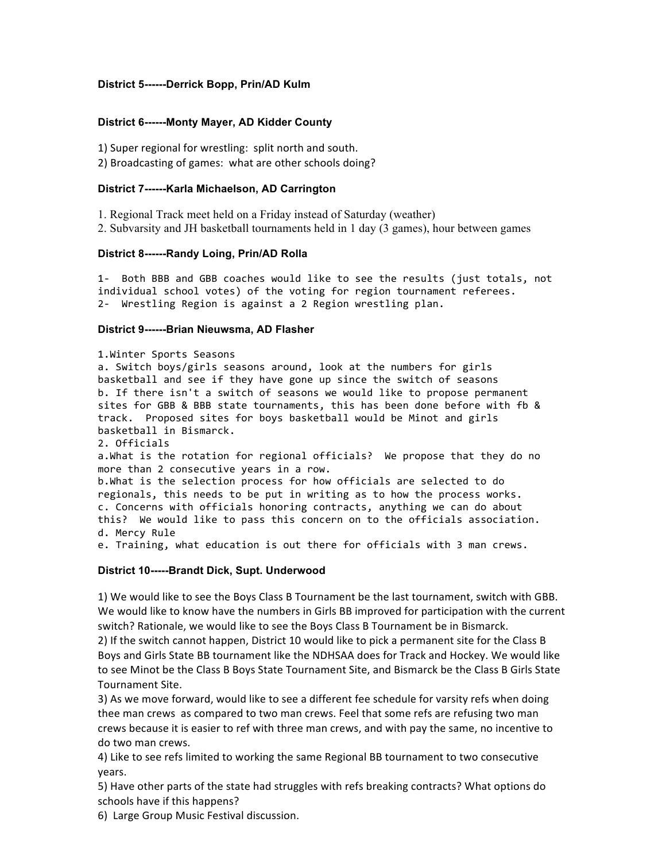## **District 5------Derrick Bopp, Prin/AD Kulm**

### **District 6------Monty Mayer, AD Kidder County**

1) Super regional for wrestling: split north and south. 2) Broadcasting of games: what are other schools doing?

#### **District 7------Karla Michaelson, AD Carrington**

1. Regional Track meet held on a Friday instead of Saturday (weather)

2. Subvarsity and JH basketball tournaments held in 1 day (3 games), hour between games

#### **District 8------Randy Loing, Prin/AD Rolla**

1- Both BBB and GBB coaches would like to see the results (just totals, not individual school votes) of the voting for region tournament referees. 2- Wrestling Region is against a 2 Region wrestling plan.

#### **District 9------Brian Nieuwsma, AD Flasher**

1.Winter Sports Seasons

a. Switch boys/girls seasons around, look at the numbers for girls basketball and see if they have gone up since the switch of seasons b. If there isn't a switch of seasons we would like to propose permanent sites for GBB & BBB state tournaments, this has been done before with fb & track. Proposed sites for boys basketball would be Minot and girls basketball in Bismarck.

2. Officials

a.What is the rotation for regional officials? We propose that they do no more than 2 consecutive years in a row.

b.What is the selection process for how officials are selected to do regionals, this needs to be put in writing as to how the process works. c. Concerns with officials honoring contracts, anything we can do about this? We would like to pass this concern on to the officials association. d. Mercy Rule

e. Training, what education is out there for officials with 3 man crews.

### **District 10-----Brandt Dick, Supt. Underwood**

1) We would like to see the Boys Class B Tournament be the last tournament, switch with GBB. We would like to know have the numbers in Girls BB improved for participation with the current switch? Rationale, we would like to see the Boys Class B Tournament be in Bismarck.

2) If the switch cannot happen, District 10 would like to pick a permanent site for the Class B Boys and Girls State BB tournament like the NDHSAA does for Track and Hockey. We would like to see Minot be the Class B Boys State Tournament Site, and Bismarck be the Class B Girls State Tournament Site. 

3) As we move forward, would like to see a different fee schedule for varsity refs when doing thee man crews as compared to two man crews. Feel that some refs are refusing two man crews because it is easier to ref with three man crews, and with pay the same, no incentive to do two man crews.

4) Like to see refs limited to working the same Regional BB tournament to two consecutive years. 

5) Have other parts of the state had struggles with refs breaking contracts? What options do schools have if this happens?

6) Large Group Music Festival discussion.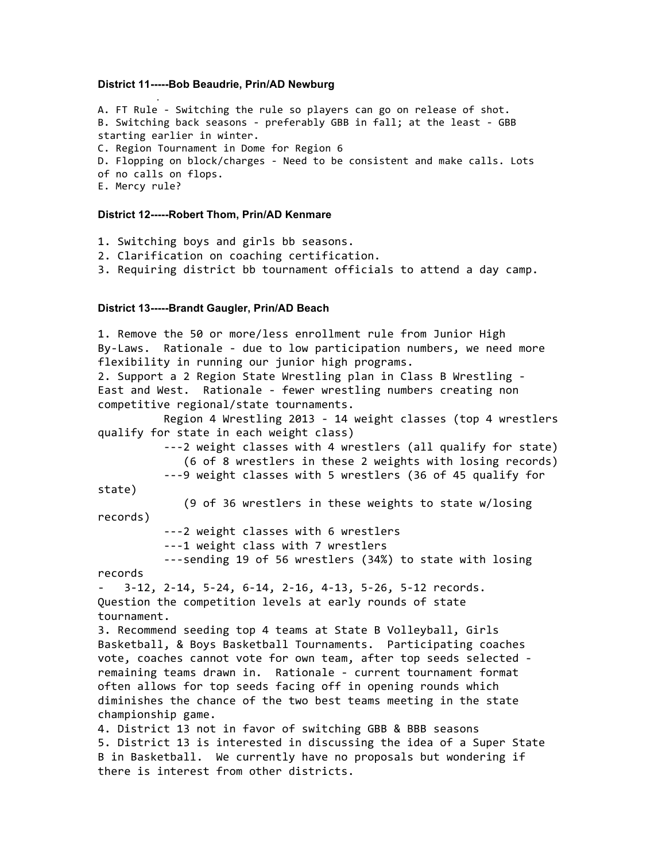#### **District 11-----Bob Beaudrie, Prin/AD Newburg**

.

A. FT Rule - Switching the rule so players can go on release of shot. B. Switching back seasons - preferably GBB in fall; at the least - GBB starting earlier in winter. C. Region Tournament in Dome for Region 6 D. Flopping on block/charges - Need to be consistent and make calls. Lots of no calls on flops. E. Mercy rule?

#### **District 12-----Robert Thom, Prin/AD Kenmare**

1. Switching boys and girls bb seasons.

- 2. Clarification on coaching certification.
- 3. Requiring district bb tournament officials to attend a day camp.

#### **District 13-----Brandt Gaugler, Prin/AD Beach**

1. Remove the 50 or more/less enrollment rule from Junior High By-Laws. Rationale - due to low participation numbers, we need more flexibility in running our junior high programs. 2. Support a 2 Region State Wrestling plan in Class B Wrestling -East and West. Rationale - fewer wrestling numbers creating non competitive regional/state tournaments. Region 4 Wrestling 2013 - 14 weight classes (top 4 wrestlers qualify for state in each weight class) ---2 weight classes with 4 wrestlers (all qualify for state) (6 of 8 wrestlers in these 2 weights with losing records) ---9 weight classes with 5 wrestlers (36 of 45 qualify for state) (9 of 36 wrestlers in these weights to state w/losing records) ---2 weight classes with 6 wrestlers ---1 weight class with 7 wrestlers ---sending 19 of 56 wrestlers (34%) to state with losing records  $3-12$ ,  $2-14$ ,  $5-24$ ,  $6-14$ ,  $2-16$ ,  $4-13$ ,  $5-26$ ,  $5-12$  records. Question the competition levels at early rounds of state tournament. 3. Recommend seeding top 4 teams at State B Volleyball, Girls Basketball, & Boys Basketball Tournaments. Participating coaches vote, coaches cannot vote for own team, after top seeds selected remaining teams drawn in. Rationale - current tournament format often allows for top seeds facing off in opening rounds which diminishes the chance of the two best teams meeting in the state championship game. 4. District 13 not in favor of switching GBB & BBB seasons 5. District 13 is interested in discussing the idea of a Super State B in Basketball. We currently have no proposals but wondering if there is interest from other districts.